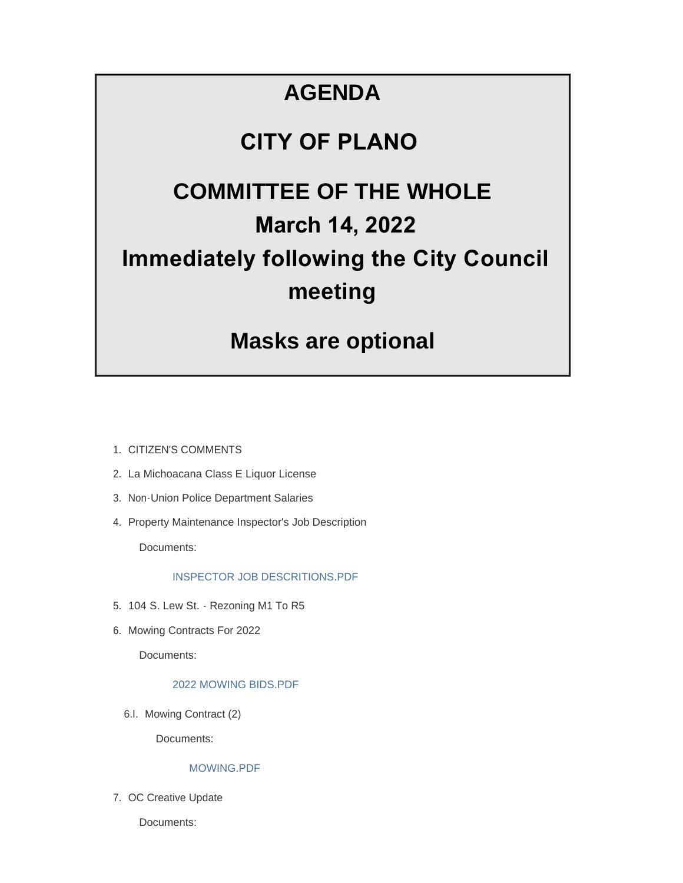#### **AGENDA**

#### **CITY OF PLANO**

#### **COMMITTEE OF THE WHOLE March 14, 2022 Immediately following the City Council meeting**

#### **Masks are optional**

- 1. CITIZEN'S COMMENTS
- 2. La Michoacana Class E Liquor License
- 3. Non-Union Police Department Salaries
- 4. Property Maintenance Inspector's Job Description

Documents:

#### INSPECTOR JOB DESCRITIONS.PDF

- 5. 104 S. Lew St. Rezoning M1 To R5
- 6. Mowing Contracts For 2022

Documents:

#### 2022 MOWING BIDS.PDF

6.I. Mowing Contract (2)

Documents:

#### MOWING.PDF

7. OC Creative Update

Documents: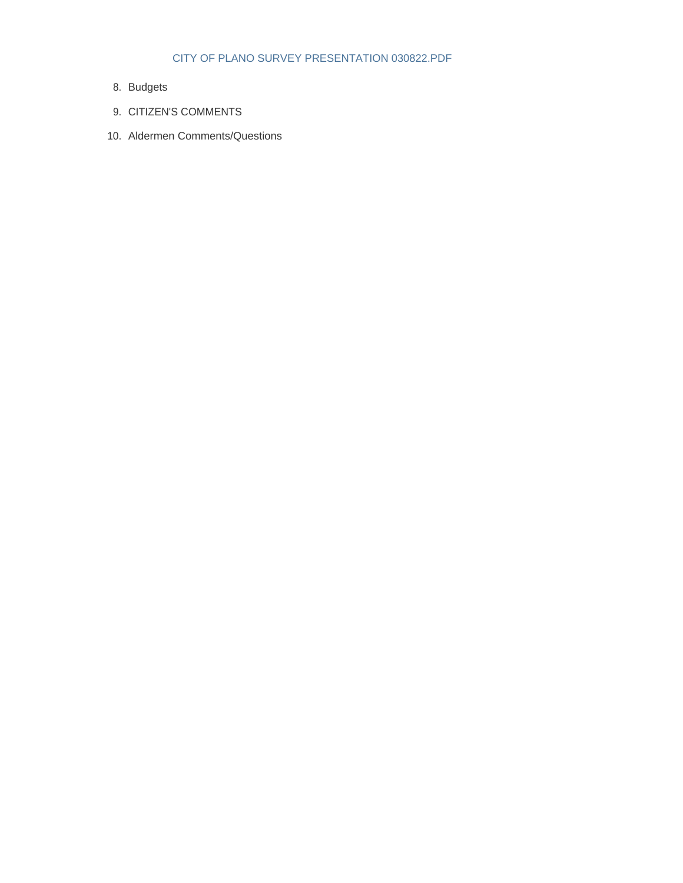#### CITY OF PLANO SURVEY PRESENTATION 030822.PDF

- Budgets 8.
- 9. CITIZEN'S COMMENTS
- 10. Aldermen Comments/Questions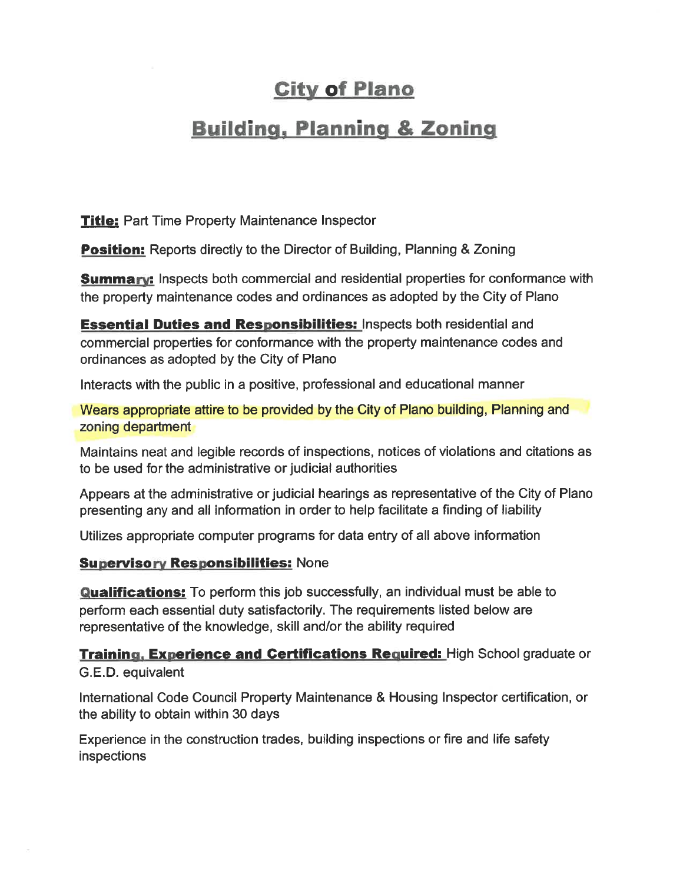#### **City of Plano**

#### **Building, Planning & Zoning**

**Title: Part Time Property Maintenance Inspector** 

**Position:** Reports directly to the Director of Building, Planning & Zoning

**Summary:** Inspects both commercial and residential properties for conformance with the property maintenance codes and ordinances as adopted by the City of Plano

**Essential Duties and Responsibilities:** Inspects both residential and commercial properties for conformance with the property maintenance codes and ordinances as adopted by the City of Plano

Interacts with the public in a positive, professional and educational manner

Wears appropriate attire to be provided by the City of Plano building, Planning and zoning department

Maintains neat and legible records of inspections, notices of violations and citations as to be used for the administrative or judicial authorities

Appears at the administrative or judicial hearings as representative of the City of Plano presenting any and all information in order to help facilitate a finding of liability

Utilizes appropriate computer programs for data entry of all above information

#### **Supervisory Responsibilities: None**

**Qualifications:** To perform this job successfully, an individual must be able to perform each essential duty satisfactorily. The requirements listed below are representative of the knowledge, skill and/or the ability required

Training. Experience and Certifications Required: High School graduate or G.E.D. equivalent

International Code Council Property Maintenance & Housing Inspector certification, or the ability to obtain within 30 days

Experience in the construction trades, building inspections or fire and life safety **inspections**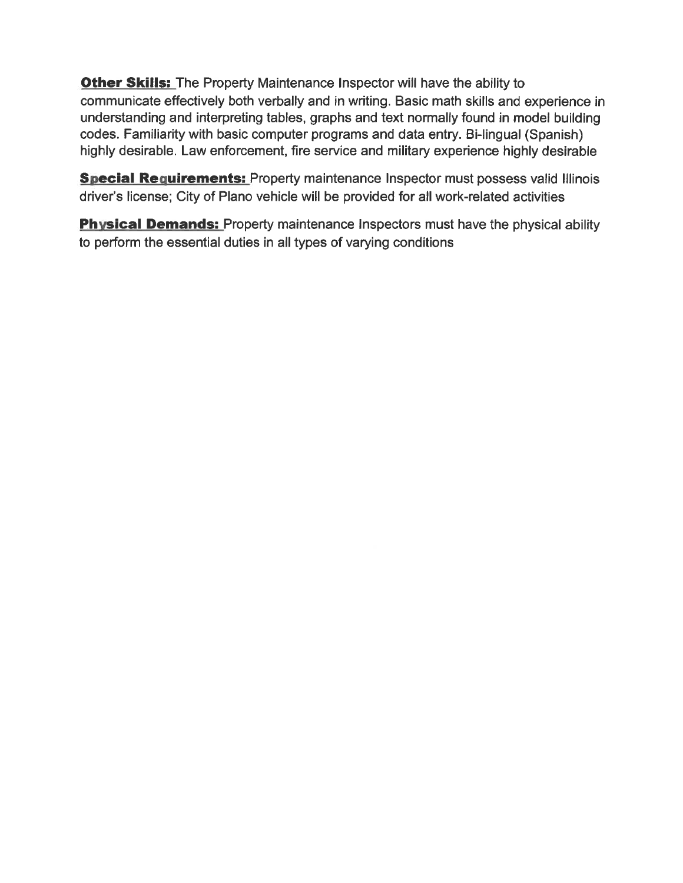**Other Skills:** The Property Maintenance Inspector will have the ability to communicate effectively both verbally and in writing. Basic math skills and experience in understanding and interpreting tables, graphs and text normally found in model building codes. Familiarity with basic computer programs and data entry. Bi-lingual (Spanish) highly desirable. Law enforcement, fire service and military experience highly desirable

**Special Requirements:** Property maintenance Inspector must possess valid Illinois driver's license; City of Plano vehicle will be provided for all work-related activities

**Physical Demands:** Property maintenance Inspectors must have the physical ability to perform the essential duties in all types of varying conditions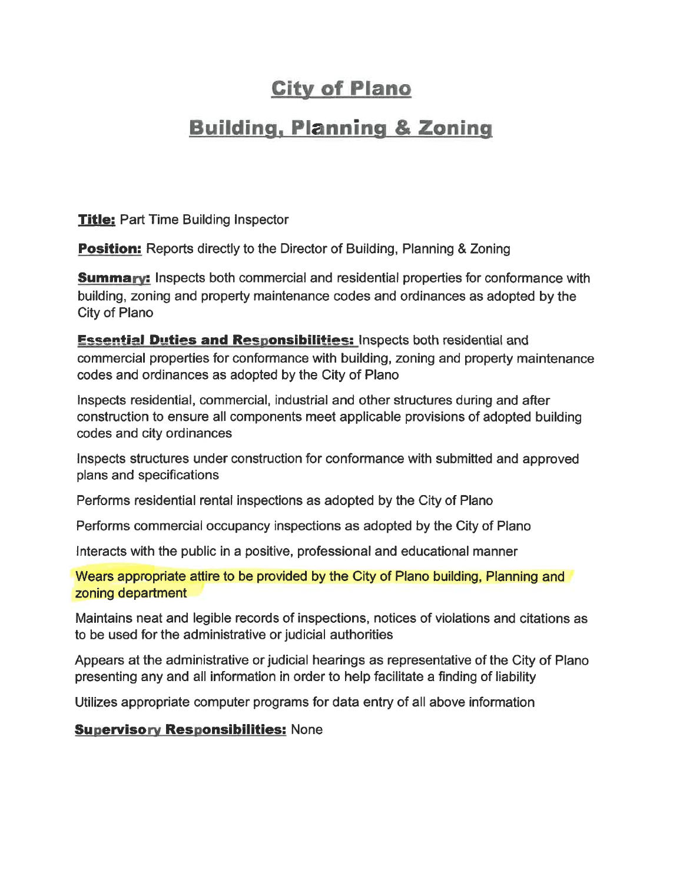#### **City of Plano**

#### **Building, Planning & Zoning**

**Title:** Part Time Building Inspector

**Position:** Reports directly to the Director of Building, Planning & Zoning

**Summary:** Inspects both commercial and residential properties for conformance with building, zoning and property maintenance codes and ordinances as adopted by the City of Plano

**Essential Duties and Responsibilities: Inspects both residential and** commercial properties for conformance with building, zoning and property maintenance codes and ordinances as adopted by the City of Plano

Inspects residential, commercial, industrial and other structures during and after construction to ensure all components meet applicable provisions of adopted building codes and city ordinances

Inspects structures under construction for conformance with submitted and approved plans and specifications

Performs residential rental inspections as adopted by the City of Plano

Performs commercial occupancy inspections as adopted by the City of Plano

Interacts with the public in a positive, professional and educational manner

Wears appropriate attire to be provided by the City of Plano building, Planning and zoning department

Maintains neat and legible records of inspections, notices of violations and citations as to be used for the administrative or judicial authorities

Appears at the administrative or judicial hearings as representative of the City of Plano presenting any and all information in order to help facilitate a finding of liability

Utilizes appropriate computer programs for data entry of all above information

**Supervisory Responsibilities: None**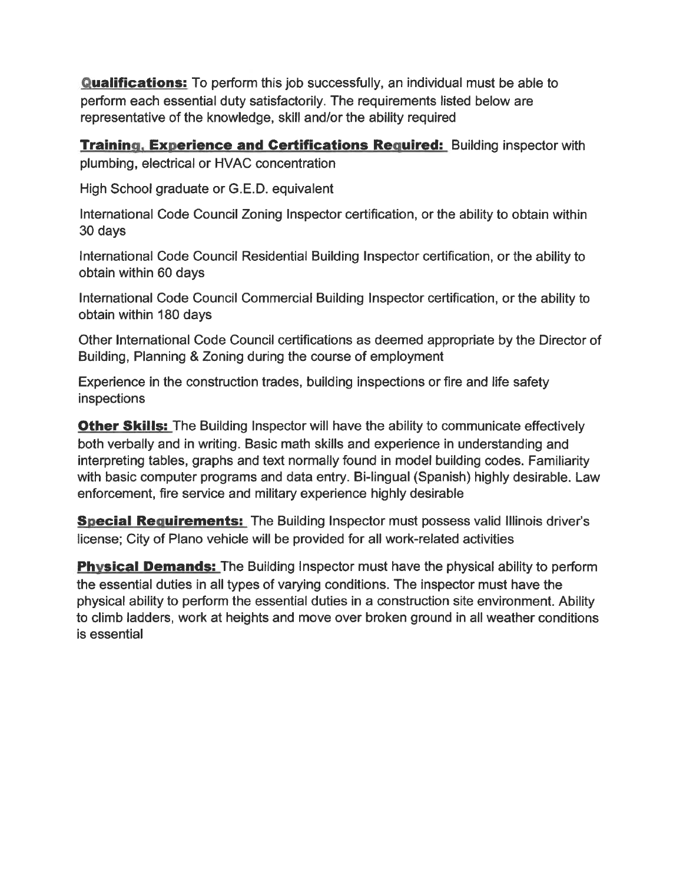**Qualifications:** To perform this job successfully, an individual must be able to perform each essential duty satisfactorily. The requirements listed below are representative of the knowledge, skill and/or the ability required

**Training, Experience and Certifications Required:** Building inspector with plumbing, electrical or HVAC concentration

High School graduate or G.E.D. equivalent

International Code Council Zoning Inspector certification, or the ability to obtain within 30 days

International Code Council Residential Building Inspector certification, or the ability to obtain within 60 days

International Code Council Commercial Building Inspector certification, or the ability to obtain within 180 days

Other International Code Council certifications as deemed appropriate by the Director of Building, Planning & Zoning during the course of employment

Experience in the construction trades, building inspections or fire and life safety inspections

**Other Skills:** The Building Inspector will have the ability to communicate effectively both verbally and in writing. Basic math skills and experience in understanding and interpreting tables, graphs and text normally found in model building codes. Familiarity with basic computer programs and data entry. Bi-lingual (Spanish) highly desirable. Law enforcement, fire service and military experience highly desirable

**Special Requirements:** The Building Inspector must possess valid Illinois driver's license; City of Plano vehicle will be provided for all work-related activities

**Physical Demands:** The Building Inspector must have the physical ability to perform the essential duties in all types of varying conditions. The inspector must have the physical ability to perform the essential duties in a construction site environment. Ability to climb ladders, work at heights and move over broken ground in all weather conditions is essential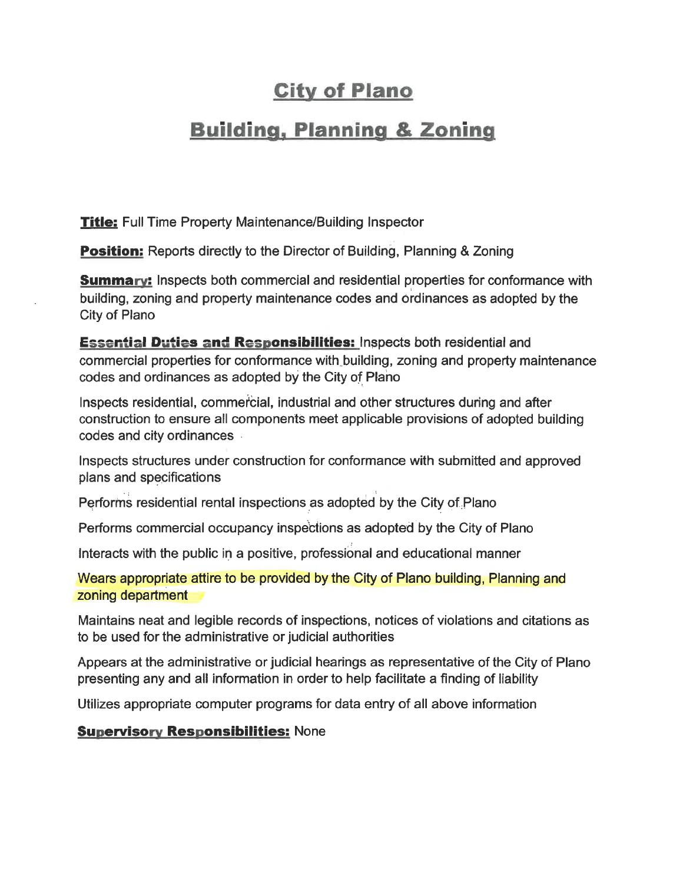#### **City of Plano**

#### **Building, Planning & Zoning**

**Title:** Full Time Property Maintenance/Building Inspector

**Position:** Reports directly to the Director of Building, Planning & Zoning

**Summary:** Inspects both commercial and residential properties for conformance with building, zoning and property maintenance codes and ordinances as adopted by the City of Plano

**Essential Duties and Responsibilities:** Inspects both residential and commercial properties for conformance with building, zoning and property maintenance codes and ordinances as adopted by the City of Plano

Inspects residential, commercial, industrial and other structures during and after construction to ensure all components meet applicable provisions of adopted building codes and city ordinances

Inspects structures under construction for conformance with submitted and approved plans and specifications

Performs residential rental inspections as adopted by the City of Plano

Performs commercial occupancy inspections as adopted by the City of Plano

Interacts with the public in a positive, professional and educational manner

Wears appropriate attire to be provided by the City of Plano building, Planning and zoning department

Maintains neat and legible records of inspections, notices of violations and citations as to be used for the administrative or judicial authorities

Appears at the administrative or judicial hearings as representative of the City of Plano presenting any and all information in order to help facilitate a finding of liability

Utilizes appropriate computer programs for data entry of all above information

**Supervisory Responsibilities: None**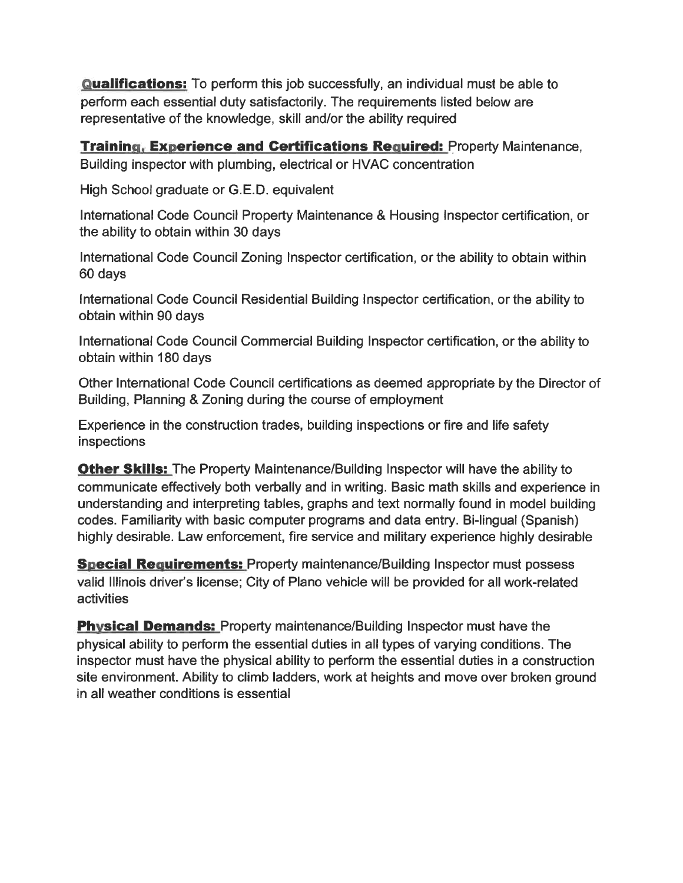**Qualifications:** To perform this job successfully, an individual must be able to perform each essential duty satisfactorily. The requirements listed below are representative of the knowledge, skill and/or the ability required

**Training, Experience and Certifications Required: Property Maintenance,** Building inspector with plumbing, electrical or HVAC concentration

High School graduate or G.E.D. equivalent

International Code Council Property Maintenance & Housing Inspector certification, or the ability to obtain within 30 days

International Code Council Zoning Inspector certification, or the ability to obtain within 60 days

International Code Council Residential Building Inspector certification, or the ability to obtain within 90 days

International Code Council Commercial Building Inspector certification, or the ability to obtain within 180 days

Other International Code Council certifications as deemed appropriate by the Director of Building, Planning & Zoning during the course of employment

Experience in the construction trades, building inspections or fire and life safety inspections

**Other Skills:** The Property Maintenance/Building Inspector will have the ability to communicate effectively both verbally and in writing. Basic math skills and experience in understanding and interpreting tables, graphs and text normally found in model building codes. Familiarity with basic computer programs and data entry. Bi-lingual (Spanish) highly desirable. Law enforcement, fire service and military experience highly desirable

**Special Requirements:** Property maintenance/Building Inspector must possess valid Illinois driver's license; City of Plano vehicle will be provided for all work-related **activities** 

**Physical Demands:** Property maintenance/Building Inspector must have the physical ability to perform the essential duties in all types of varying conditions. The inspector must have the physical ability to perform the essential duties in a construction site environment. Ability to climb ladders, work at heights and move over broken ground in all weather conditions is essential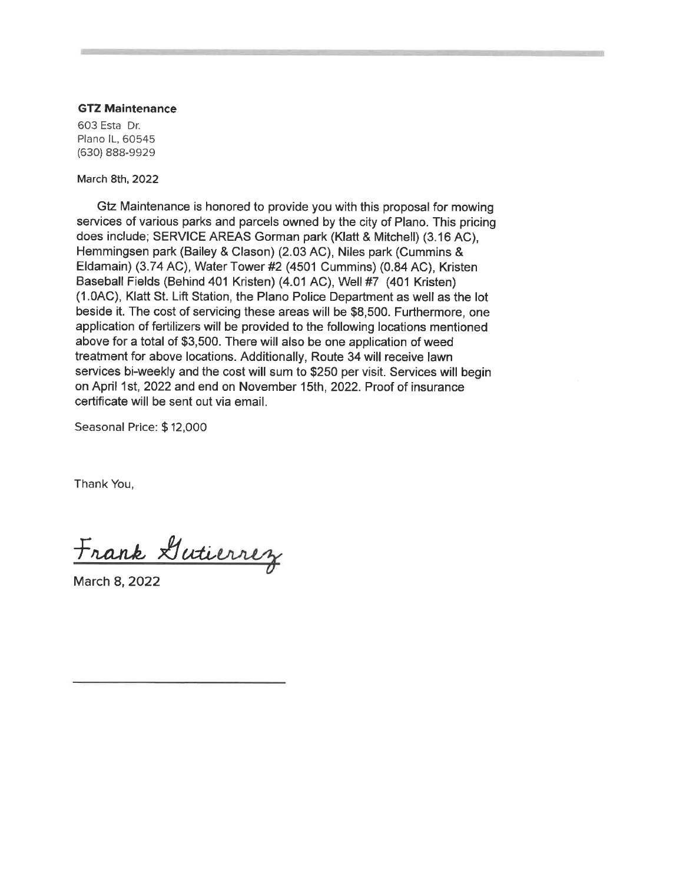#### **GTZ Maintenance**

603 Esta Dr. Plano IL, 60545 (630) 888-9929

March 8th, 2022

Gtz Maintenance is honored to provide you with this proposal for mowing services of various parks and parcels owned by the city of Plano. This pricing does include; SERVICE AREAS Gorman park (Klatt & Mitchell) (3.16 AC). Hemmingsen park (Bailey & Clason) (2.03 AC), Niles park (Cummins & Eldamain) (3.74 AC), Water Tower #2 (4501 Cummins) (0.84 AC), Kristen Baseball Fields (Behind 401 Kristen) (4.01 AC), Well #7 (401 Kristen) (1.0AC), Klatt St. Lift Station, the Plano Police Department as well as the lot beside it. The cost of servicing these areas will be \$8,500. Furthermore, one application of fertilizers will be provided to the following locations mentioned above for a total of \$3,500. There will also be one application of weed treatment for above locations. Additionally, Route 34 will receive lawn services bi-weekly and the cost will sum to \$250 per visit. Services will begin on April 1st, 2022 and end on November 15th, 2022. Proof of insurance certificate will be sent out via email

Seasonal Price: \$12,000

Thank You,

Frank Gutierrez

March 8, 2022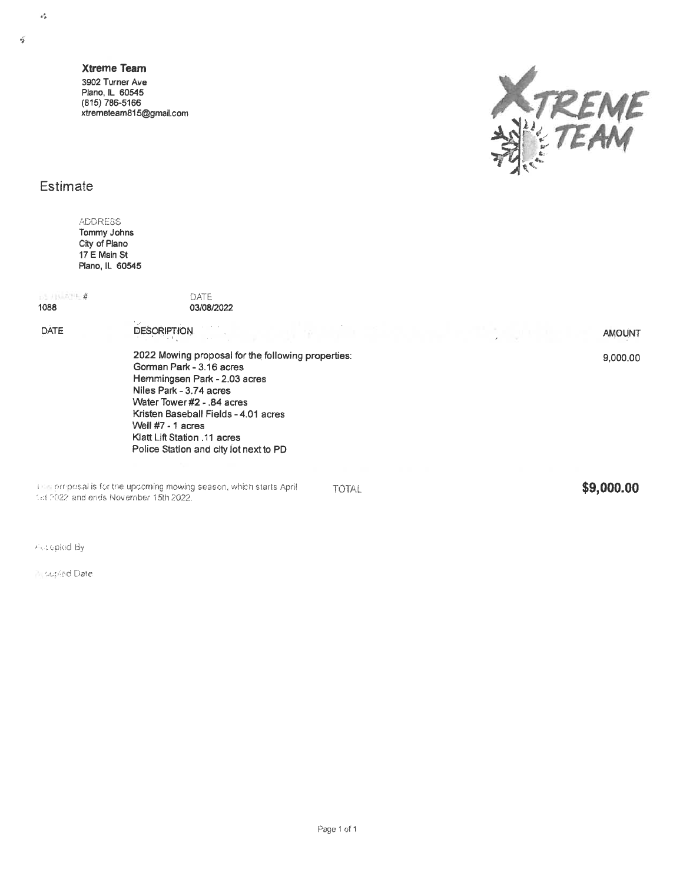$\vec{q}$ 

 $\alpha_B^2$ 

**Xtreme Team** 3902 Turner Ave Plano, IL 60545 (815) 786-5166 xtremeteam815@gmail.com



#### Estimate

**ADDRESS** Tommy Johns City of Plano 17 E Main St Plano, IL 60545

**5115.315#** 1088

DATE 03/08/2022

DATE

**DESCRIPTION** 

2022 Mowing proposal for the following properties: Gorman Park - 3.16 acres Hemmingsen Park - 2.03 acres Niles Park - 3.74 acres Water Tower #2 - .84 acres Kristen Baseball Fields - 4.01 acres Well #7 - 1 acres Klatt Lift Station .11 acres Police Station and city lot next to PD

The proposal is for the upcoming mowing season, which starts April fist 2022 and ends November 15th 2022.

**TOTAL** 

\$9,000.00

**AMOUNT** 

9,000.00

Piccleplod By

**Niconfed Date**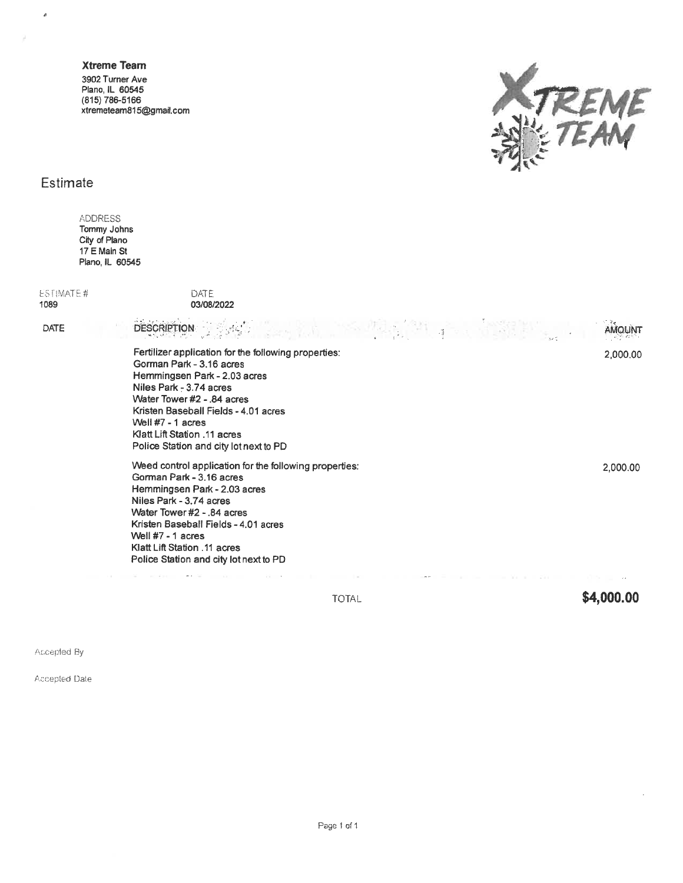#### **Xtreme Team**

3902 Turner Ave<br>Plano, IL 60545<br>(815) 786-5166 xtremeteam815@gmail.com



#### Estimate

é

ADDRESS<br>Tommy Johns<br>City of Plano<br>17 E Main St<br>Plano, IL 60545

| ESTIMATE# | DATE               |  |
|-----------|--------------------|--|
| 1089      | 03/08/2022         |  |
| DATE.     | <b>DESCRIPTION</b> |  |

| <b>DESCRIPTION</b> And Constitution of the constitution of the constitution of the constitution of the constitution of the constitution of the constitution of the constitution of the constitution of the constitution of the cons                                                                                 |          |
|---------------------------------------------------------------------------------------------------------------------------------------------------------------------------------------------------------------------------------------------------------------------------------------------------------------------|----------|
| Fertilizer application for the following properties:<br>Gorman Park - 3.16 acres<br>Hemmingsen Park - 2.03 acres<br>Niles Park - 3.74 acres<br>Water Tower #2 - 84 acres<br>Kristen Baseball Fields - 4.01 acres<br>Well $#7 - 1$ acres<br>Klatt Lift Station .11 acres<br>Police Station and city lot next to PD   | 2,000.00 |
| Weed control application for the following properties:<br>Gorman Park - 3.16 acres<br>Hemmingsen Park - 2.03 acres<br>Niles Park - 3.74 acres<br>Water Tower #2 - 84 acres<br>Kristen Baseball Fields - 4.01 acres<br>Well $#7 - 1$ acres<br>Klatt Lift Station .11 acres<br>Police Station and city lot next to PD | 2,000.00 |

TOTAL

\$4,000.00

 $\sim$ 

Accepted By

Accepted Date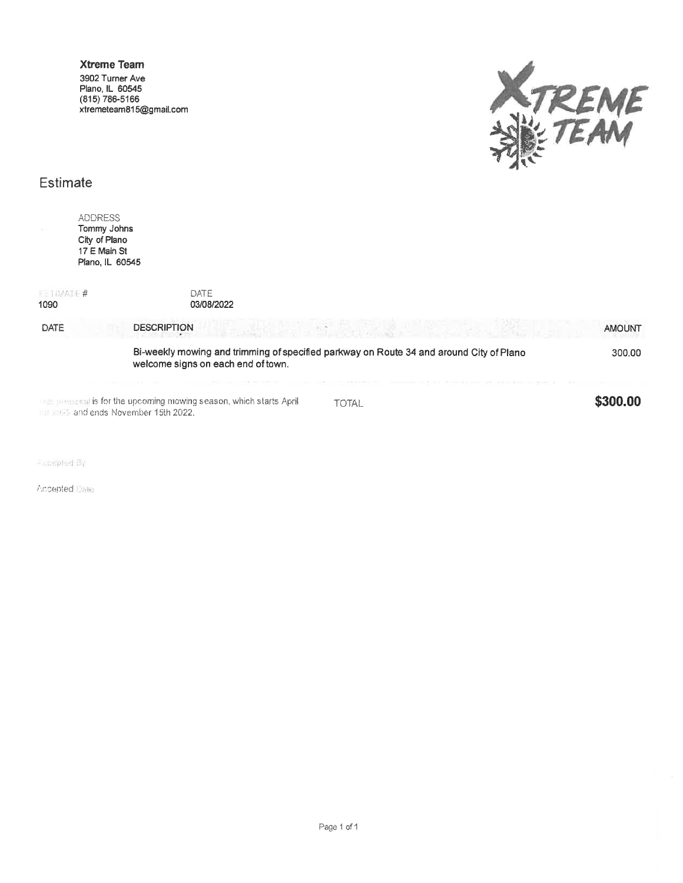

#### Estimate

|                       | <b>ADDRESS</b><br>Tommy Johns<br>City of Plano<br>17 E Main St<br>Plano, IL 60545                                             |               |
|-----------------------|-------------------------------------------------------------------------------------------------------------------------------|---------------|
| $E$ invarie #<br>1090 | DATE<br>03/08/2022                                                                                                            |               |
| DATE                  | <b>DESCRIPTION</b>                                                                                                            | <b>AMOUNT</b> |
|                       | Bi-weekly mowing and trimming of specified parkway on Route 34 and around City of Plano<br>welcome signs on each end of town. | 300.00        |
|                       | <b>Example 12 Set is for the upcoming mowing season, which starts April</b><br><b>TOTAL</b><br>and ends November 15th 2022.   | \$300.00      |

 $-$  coopled  $B_1$ 

Accepted Date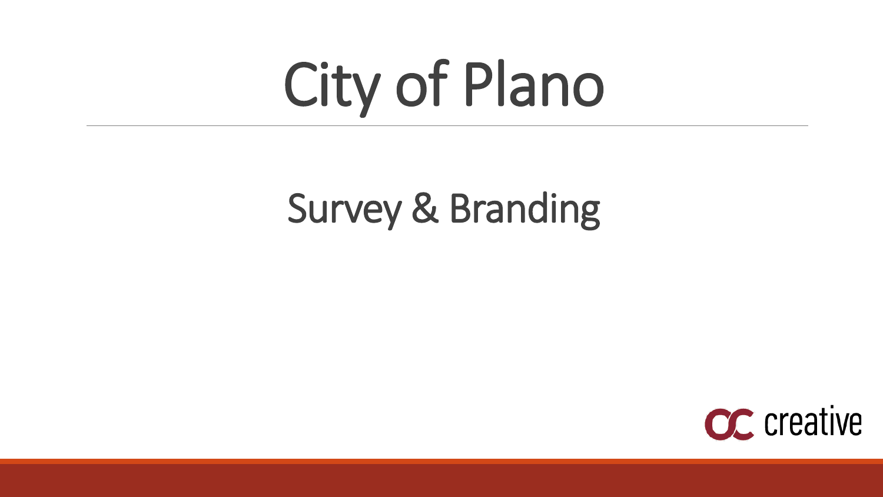# City of Plano

# Survey & Branding

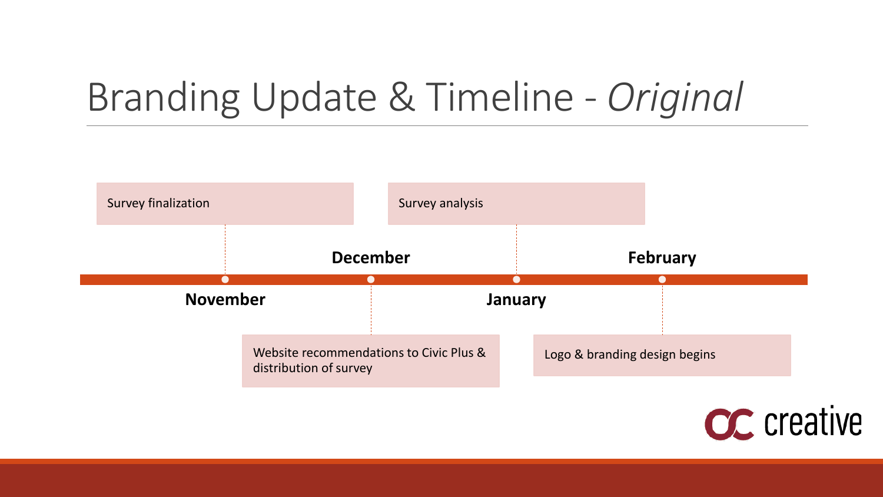# Branding Update & Timeline - *Original*



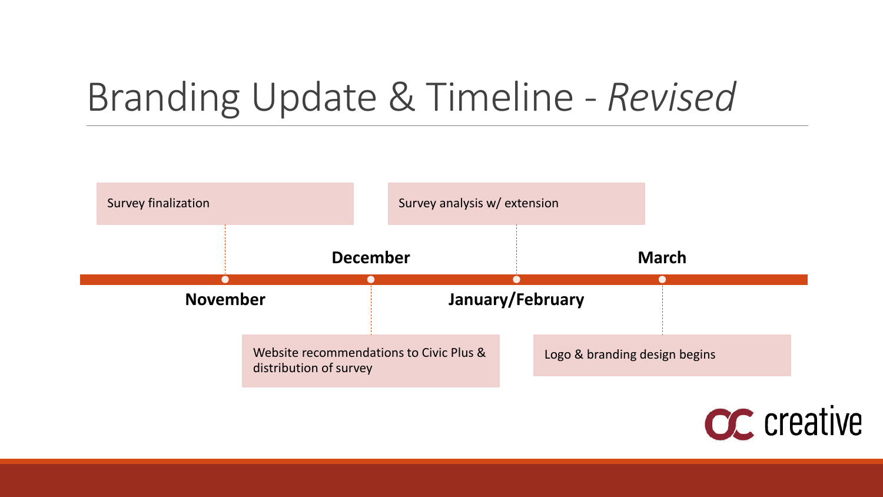# Branding Update & Timeline - *Revised*



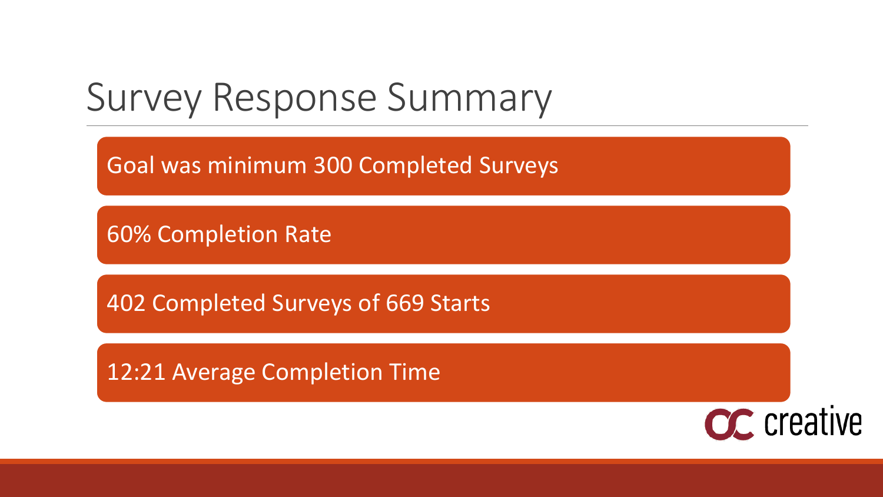### Survey Response Summary

Goal was minimum 300 Completed Surveys

60% Completion Rate

402 Completed Surveys of 669 Starts

12:21 Average Completion Time

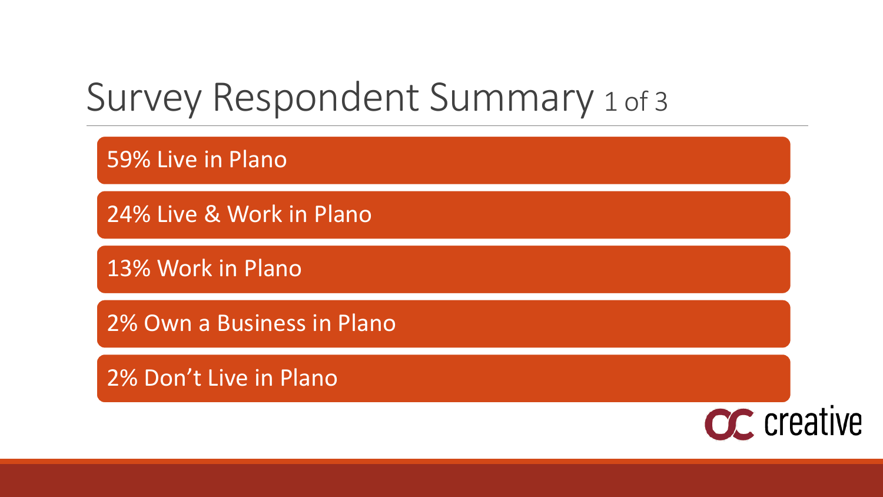### Survey Respondent Summary 1 of 3

59% Live in Plano

24% Live & Work in Plano

13% Work in Plano

2% Own a Business in Plano

2% Don't Live in Plano

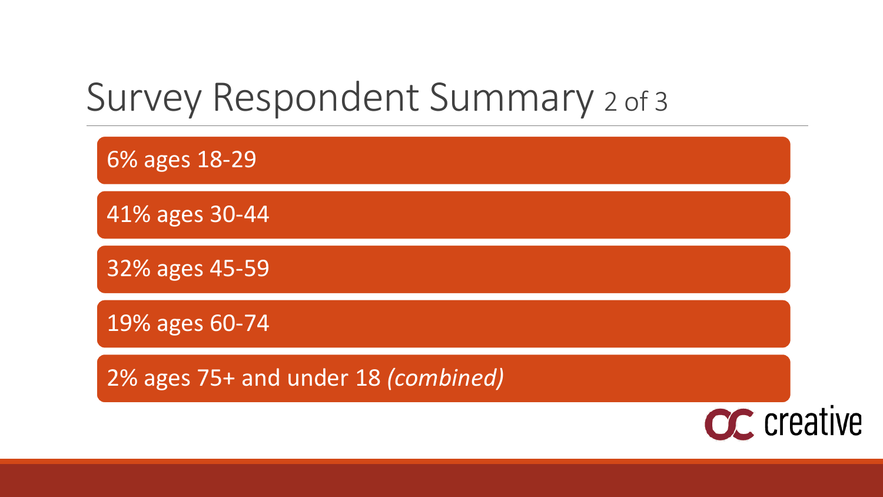### Survey Respondent Summary 2 of 3

6% ages 18-29

41% ages 30-44

32% ages 45-59

19% ages 60-74

2% ages 75+ and under 18 *(combined)*

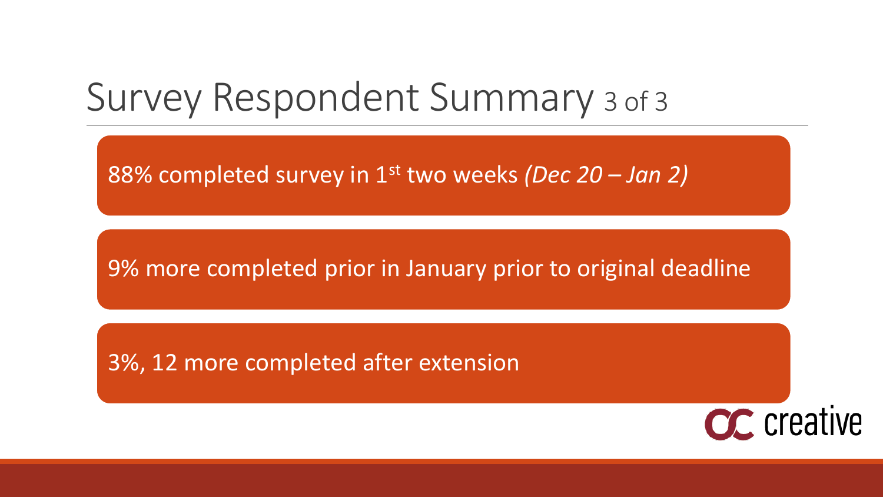### Survey Respondent Summary 3 of 3

88% completed survey in 1st two weeks *(Dec 20 – Jan 2)*

9% more completed prior in January prior to original deadline

3%, 12 more completed after extension

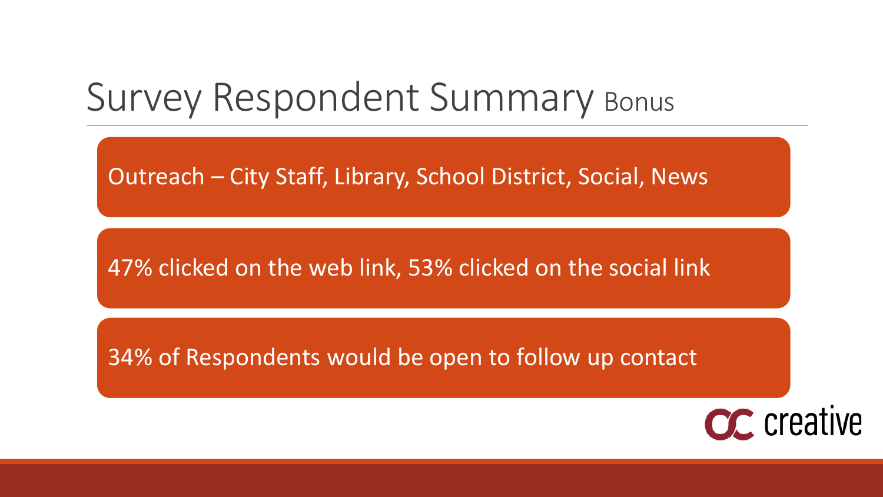### Survey Respondent Summary Bonus

Outreach – City Staff, Library, School District, Social, News

47% clicked on the web link, 53% clicked on the social link

34% of Respondents would be open to follow up contact

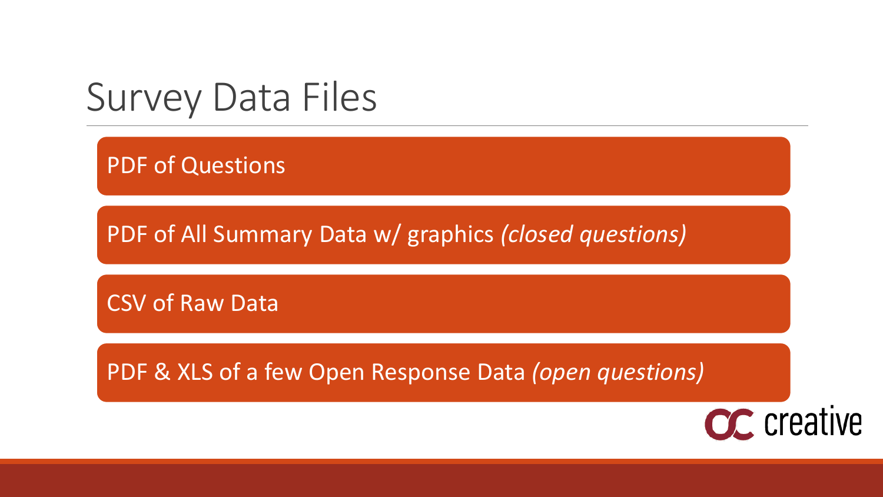### Survey Data Files

PDF of Questions

PDF of All Summary Data w/ graphics *(closed questions)*

CSV of Raw Data

PDF & XLS of a few Open Response Data *(open questions)*

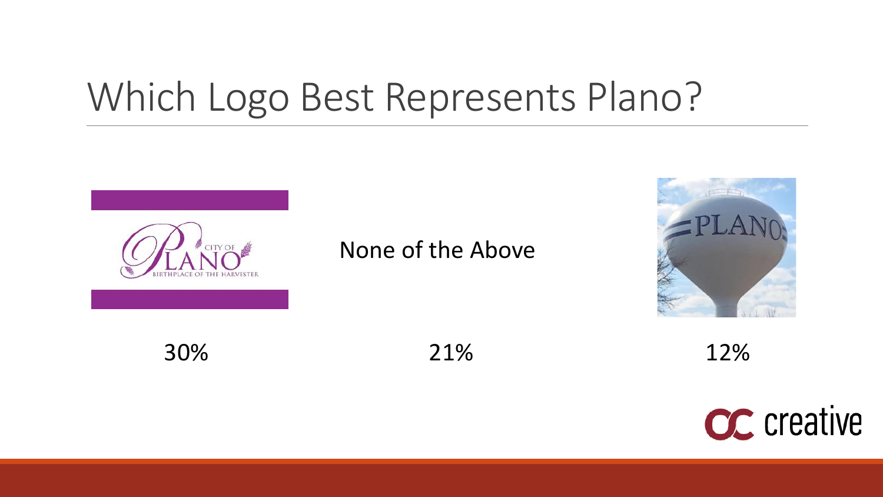## Which Logo Best Represents Plano?



#### None of the Above



30% 21% 12%

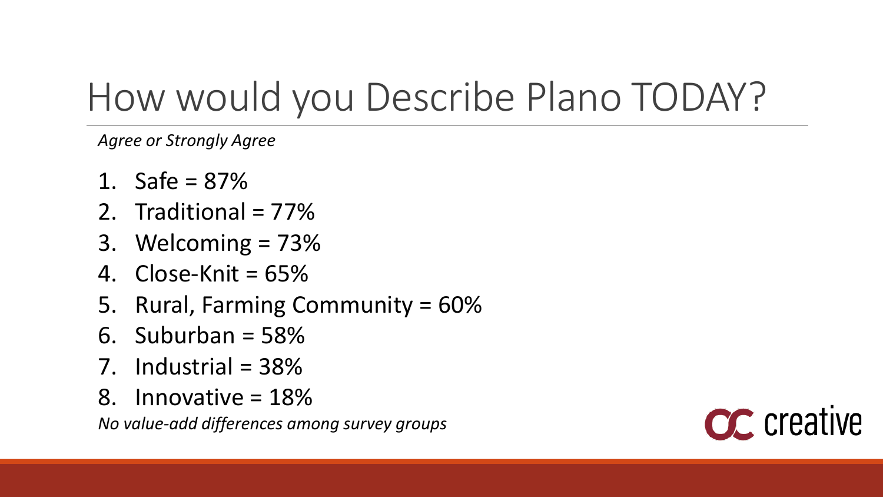# How would you Describe Plano TODAY?

*Agree or Strongly Agree*

- 1. Safe = 87%
- 2. Traditional = 77%
- 3. Welcoming = 73%
- 4. Close-Knit = 65%
- 5. Rural, Farming Community = 60%
- 6. Suburban =  $58\%$
- 7. Industrial = 38%
- 8. Innovative = 18%

*No value-add differences among survey groups*

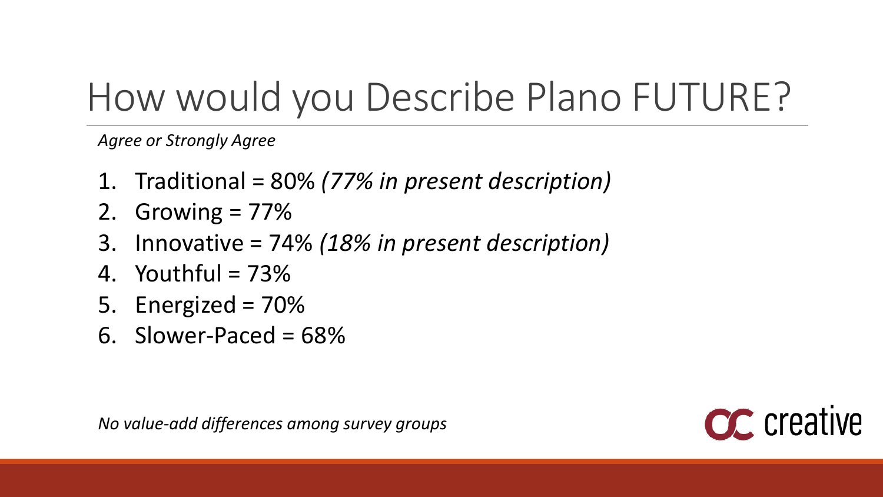# How would you Describe Plano FUTURE?

*Agree or Strongly Agree*

- 1. Traditional = 80% *(77% in present description)*
- 2. Growing  $= 77\%$
- 3. Innovative = 74% *(18% in present description)*
- 4. Youthful  $= 73\%$
- 5. Energized = 70%
- 6. Slower-Paced = 68%

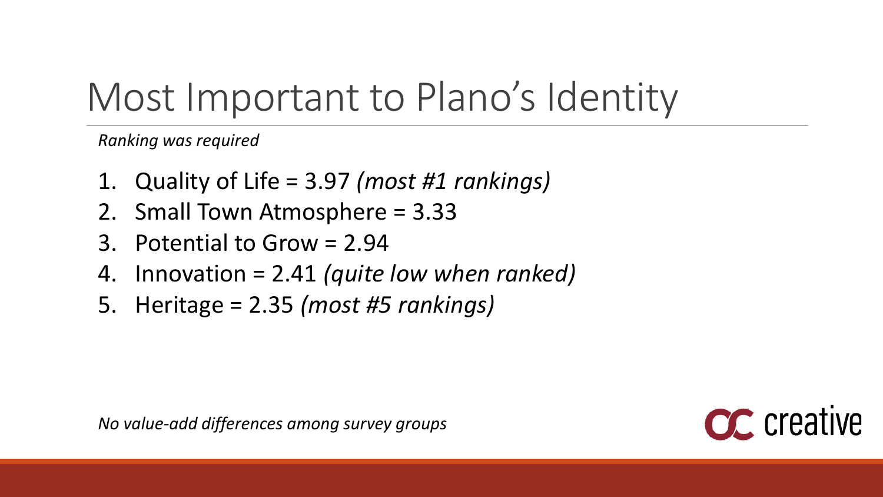# Most Important to Plano's Identity

*Ranking was required*

- 1. Quality of Life = 3.97 *(most #1 rankings)*
- 2. Small Town Atmosphere = 3.33
- 3. Potential to Grow = 2.94
- 4. Innovation = 2.41 *(quite low when ranked)*
- 5. Heritage = 2.35 *(most #5 rankings)*

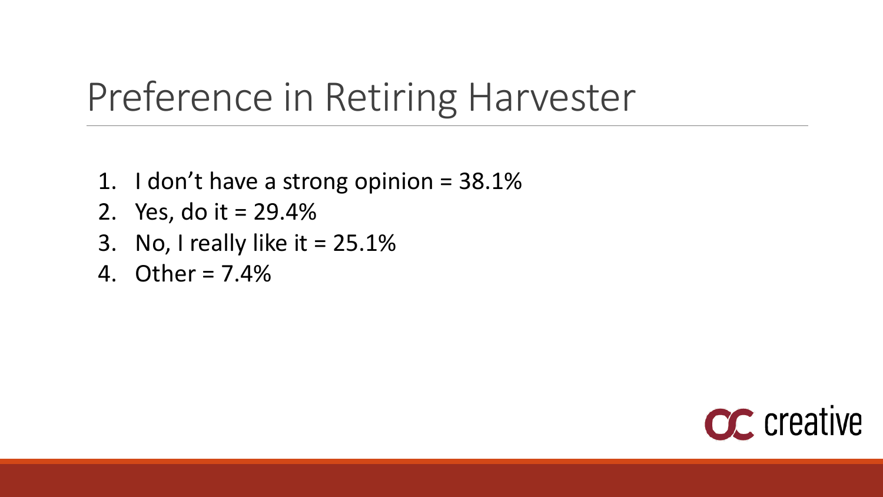# Preference in Retiring Harvester

- 1. I don't have a strong opinion  $=$  38.1%
- 2. Yes, do it = 29.4%
- 3. No, I really like it  $= 25.1\%$
- 4. Other = 7.4%

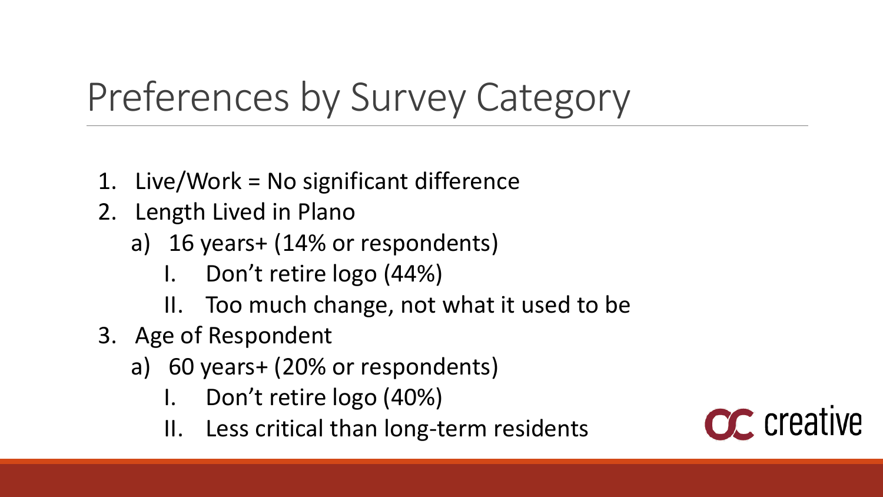# Preferences by Survey Category

- 1. Live/Work = No significant difference
- 2. Length Lived in Plano
	- a) 16 years+ (14% or respondents)
		- I. Don't retire logo (44%)
		- II. Too much change, not what it used to be
- 3. Age of Respondent
	- a) 60 years+ (20% or respondents)
		- I. Don't retire logo (40%)
		- II. Less critical than long-term residents

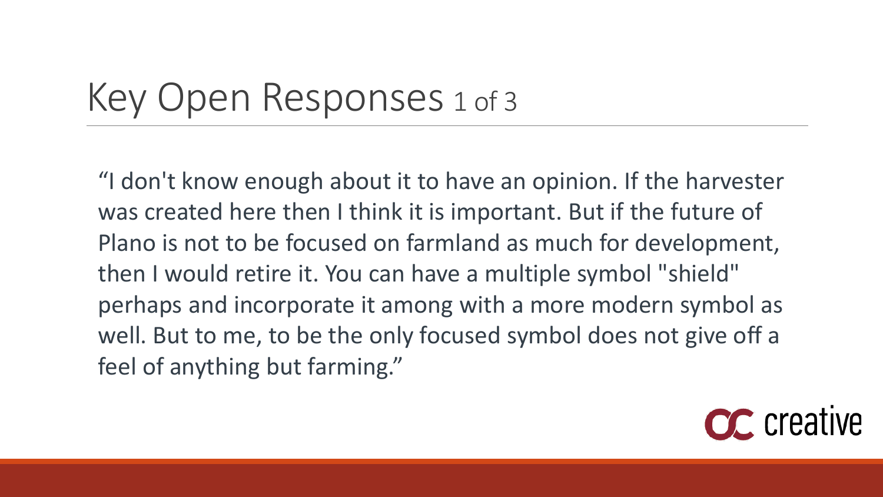### Key Open Responses 1 of 3

"I don't know enough about it to have an opinion. If the harvester was created here then I think it is important. But if the future of Plano is not to be focused on farmland as much for development, then I would retire it. You can have a multiple symbol "shield" perhaps and incorporate it among with a more modern symbol as well. But to me, to be the only focused symbol does not give off a feel of anything but farming."

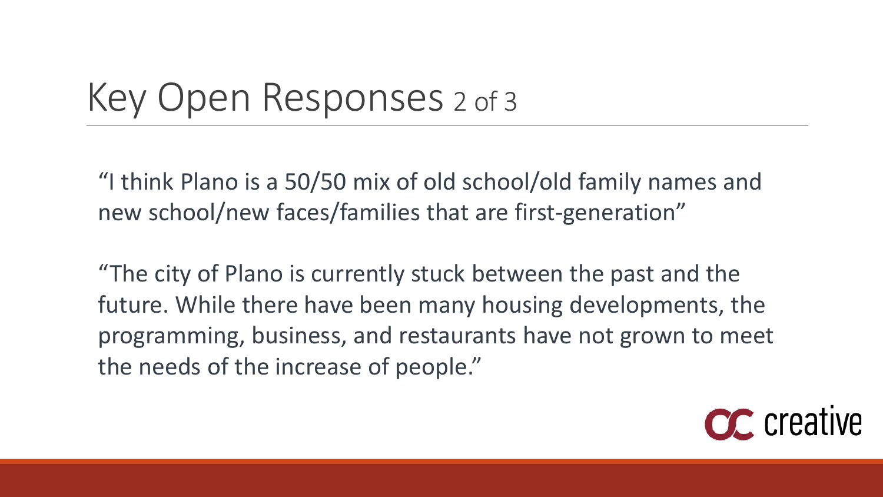### Key Open Responses 2 of 3

"I think Plano is a 50/50 mix of old school/old family names and new school/new faces/families that are first-generation"

"The city of Plano is currently stuck between the past and the future. While there have been many housing developments, the programming, business, and restaurants have not grown to meet the needs of the increase of people."

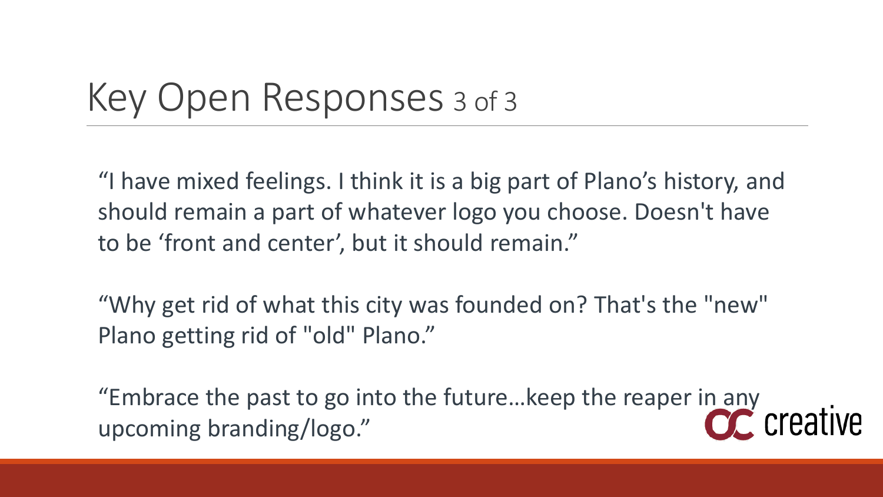### Key Open Responses <sup>3</sup> of 3

"I have mixed feelings. I think it is a big part of Plano's history, and should remain a part of whatever logo you choose. Doesn't have to be 'front and center', but it should remain."

"Why get rid of what this city was founded on? That's the "new" Plano getting rid of "old" Plano."

"Embrace the past to go into the future...keep the reaper in any<br>upcoming branding/logo." upcoming branding/logo."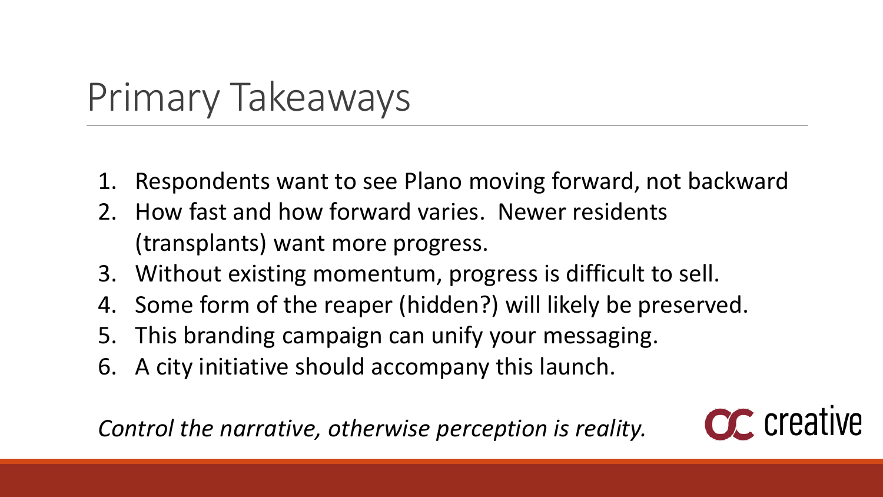# Primary Takeaways

- 1. Respondents want to see Plano moving forward, not backward
- 2. How fast and how forward varies. Newer residents (transplants) want more progress.
- 3. Without existing momentum, progress is difficult to sell.
- 4. Some form of the reaper (hidden?) will likely be preserved.
- 5. This branding campaign can unify your messaging.
- 6. A city initiative should accompany this launch.

*Control the narrative, otherwise perception is reality.*

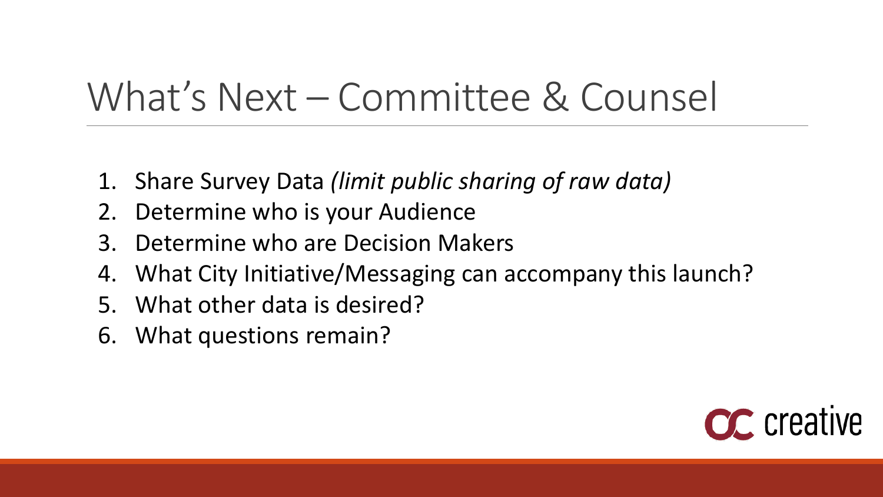# What's Next – Committee & Counsel

- 1. Share Survey Data *(limit public sharing of raw data)*
- 2. Determine who is your Audience
- 3. Determine who are Decision Makers
- 4. What City Initiative/Messaging can accompany this launch?
- 5. What other data is desired?
- 6. What questions remain?